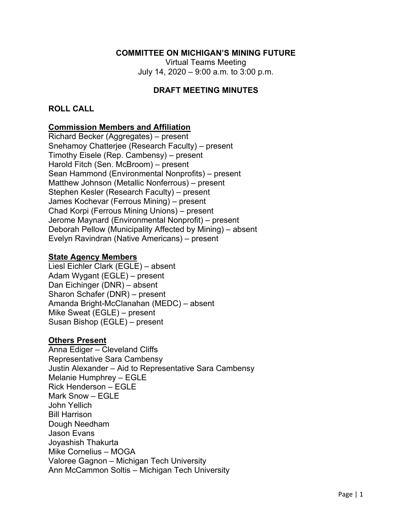### **COMMITTEE ON MICHIGAN'S MINING FUTURE**

Virtual Teams Meeting July 14, 2020 – 9:00 a.m. to 3:00 p.m.

### **DRAFT MEETING MINUTES**

### **ROLL CALL**

#### **Commission Members and Affiliation**

Richard Becker (Aggregates) – present Snehamoy Chatterjee (Research Faculty) – present Timothy Eisele (Rep. Cambensy) – present Harold Fitch (Sen. McBroom) – present Sean Hammond (Environmental Nonprofits) – present Matthew Johnson (Metallic Nonferrous) – present Stephen Kesler (Research Faculty) – present James Kochevar (Ferrous Mining) – present Chad Korpi (Ferrous Mining Unions) – present Jerome Maynard (Environmental Nonprofit) – present Deborah Pellow (Municipality Affected by Mining) – absent Evelyn Ravindran (Native Americans) – present

#### **State Agency Members**

Liesl Eichler Clark (EGLE) – absent Adam Wygant (EGLE) – present Dan Eichinger (DNR) – absent Sharon Schafer (DNR) – present Amanda Bright-McClanahan (MEDC) – absent Mike Sweat (EGLE) – present Susan Bishop (EGLE) – present

#### **Others Present**

Anna Ediger – Cleveland Cliffs Representative Sara Cambensy Justin Alexander – Aid to Representative Sara Cambensy Melanie Humphrey – EGLE Rick Henderson – EGLE Mark Snow – EGLE John Yellich Bill Harrison Dough Needham Jason Evans Joyashish Thakurta Mike Cornelius – MOGA Valoree Gagnon – Michigan Tech University Ann McCammon Soltis – Michigan Tech University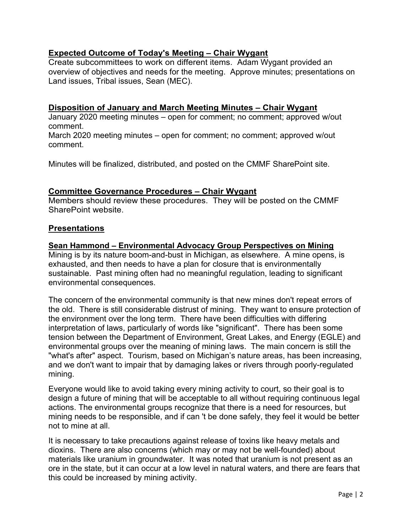# **Expected Outcome of Today's Meeting – Chair Wygant**

Create subcommittees to work on different items. Adam Wygant provided an overview of objectives and needs for the meeting. Approve minutes; presentations on Land issues, Tribal issues, Sean (MEC).

### **Disposition of January and March Meeting Minutes – Chair Wygant**

January 2020 meeting minutes – open for comment; no comment; approved w/out comment.

March 2020 meeting minutes – open for comment; no comment; approved w/out comment.

Minutes will be finalized, distributed, and posted on the CMMF SharePoint site.

### **Committee Governance Procedures – Chair Wygant**

Members should review these procedures. They will be posted on the CMMF SharePoint website.

### **Presentations**

### **Sean Hammond – Environmental Advocacy Group Perspectives on Mining**

Mining is by its nature boom-and-bust in Michigan, as elsewhere. A mine opens, is exhausted, and then needs to have a plan for closure that is environmentally sustainable. Past mining often had no meaningful regulation, leading to significant environmental consequences.

The concern of the environmental community is that new mines don't repeat errors of the old. There is still considerable distrust of mining. They want to ensure protection of the environment over the long term. There have been difficulties with differing interpretation of laws, particularly of words like "significant". There has been some tension between the Department of Environment, Great Lakes, and Energy (EGLE) and environmental groups over the meaning of mining laws. The main concern is still the "what's after" aspect. Tourism, based on Michigan's nature areas, has been increasing, and we don't want to impair that by damaging lakes or rivers through poorly-regulated mining.

Everyone would like to avoid taking every mining activity to court, so their goal is to design a future of mining that will be acceptable to all without requiring continuous legal actions. The environmental groups recognize that there is a need for resources, but mining needs to be responsible, and if can 't be done safely, they feel it would be better not to mine at all.

It is necessary to take precautions against release of toxins like heavy metals and dioxins. There are also concerns (which may or may not be well-founded) about materials like uranium in groundwater. It was noted that uranium is not present as an ore in the state, but it can occur at a low level in natural waters, and there are fears that this could be increased by mining activity.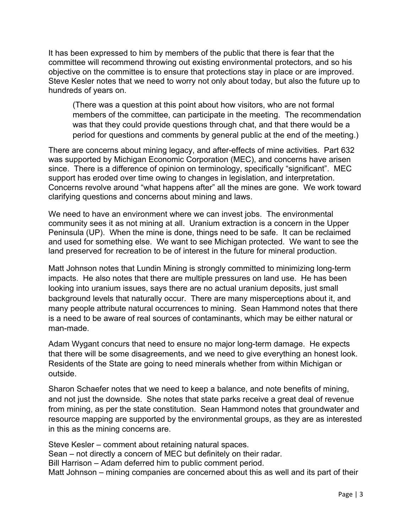It has been expressed to him by members of the public that there is fear that the committee will recommend throwing out existing environmental protectors, and so his objective on the committee is to ensure that protections stay in place or are improved. Steve Kesler notes that we need to worry not only about today, but also the future up to hundreds of years on.

(There was a question at this point about how visitors, who are not formal members of the committee, can participate in the meeting. The recommendation was that they could provide questions through chat, and that there would be a period for questions and comments by general public at the end of the meeting.)

There are concerns about mining legacy, and after-effects of mine activities. Part 632 was supported by Michigan Economic Corporation (MEC), and concerns have arisen since. There is a difference of opinion on terminology, specifically "significant". MEC support has eroded over time owing to changes in legislation, and interpretation. Concerns revolve around "what happens after" all the mines are gone. We work toward clarifying questions and concerns about mining and laws.

We need to have an environment where we can invest jobs. The environmental community sees it as not mining at all. Uranium extraction is a concern in the Upper Peninsula (UP). When the mine is done, things need to be safe. It can be reclaimed and used for something else. We want to see Michigan protected. We want to see the land preserved for recreation to be of interest in the future for mineral production.

Matt Johnson notes that Lundin Mining is strongly committed to minimizing long-term impacts. He also notes that there are multiple pressures on land use. He has been looking into uranium issues, says there are no actual uranium deposits, just small background levels that naturally occur. There are many misperceptions about it, and many people attribute natural occurrences to mining. Sean Hammond notes that there is a need to be aware of real sources of contaminants, which may be either natural or man-made.

Adam Wygant concurs that need to ensure no major long-term damage. He expects that there will be some disagreements, and we need to give everything an honest look. Residents of the State are going to need minerals whether from within Michigan or outside.

Sharon Schaefer notes that we need to keep a balance, and note benefits of mining, and not just the downside. She notes that state parks receive a great deal of revenue from mining, as per the state constitution. Sean Hammond notes that groundwater and resource mapping are supported by the environmental groups, as they are as interested in this as the mining concerns are.

Steve Kesler – comment about retaining natural spaces. Sean – not directly a concern of MEC but definitely on their radar. Bill Harrison – Adam deferred him to public comment period. Matt Johnson – mining companies are concerned about this as well and its part of their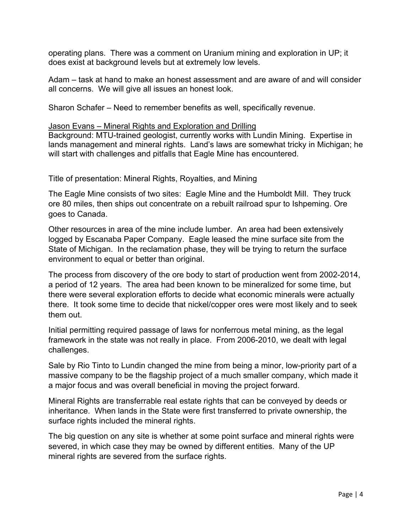operating plans. There was a comment on Uranium mining and exploration in UP; it does exist at background levels but at extremely low levels.

Adam – task at hand to make an honest assessment and are aware of and will consider all concerns. We will give all issues an honest look.

Sharon Schafer – Need to remember benefits as well, specifically revenue.

#### Jason Evans – Mineral Rights and Exploration and Drilling

Background: MTU-trained geologist, currently works with Lundin Mining. Expertise in lands management and mineral rights. Land's laws are somewhat tricky in Michigan; he will start with challenges and pitfalls that Eagle Mine has encountered.

Title of presentation: Mineral Rights, Royalties, and Mining

The Eagle Mine consists of two sites: Eagle Mine and the Humboldt Mill. They truck ore 80 miles, then ships out concentrate on a rebuilt railroad spur to Ishpeming. Ore goes to Canada.

Other resources in area of the mine include lumber. An area had been extensively logged by Escanaba Paper Company. Eagle leased the mine surface site from the State of Michigan. In the reclamation phase, they will be trying to return the surface environment to equal or better than original.

The process from discovery of the ore body to start of production went from 2002-2014, a period of 12 years. The area had been known to be mineralized for some time, but there were several exploration efforts to decide what economic minerals were actually there. It took some time to decide that nickel/copper ores were most likely and to seek them out.

Initial permitting required passage of laws for nonferrous metal mining, as the legal framework in the state was not really in place. From 2006-2010, we dealt with legal challenges.

Sale by Rio Tinto to Lundin changed the mine from being a minor, low-priority part of a massive company to be the flagship project of a much smaller company, which made it a major focus and was overall beneficial in moving the project forward.

Mineral Rights are transferrable real estate rights that can be conveyed by deeds or inheritance. When lands in the State were first transferred to private ownership, the surface rights included the mineral rights.

The big question on any site is whether at some point surface and mineral rights were severed, in which case they may be owned by different entities. Many of the UP mineral rights are severed from the surface rights.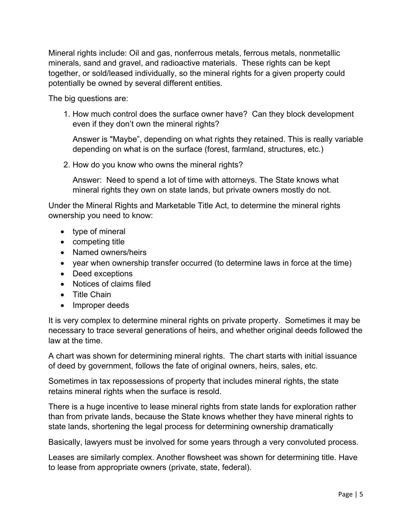Mineral rights include: Oil and gas, nonferrous metals, ferrous metals, nonmetallic minerals, sand and gravel, and radioactive materials. These rights can be kept together, or sold/leased individually, so the mineral rights for a given property could potentially be owned by several different entities.

The big questions are:

1. How much control does the surface owner have? Can they block development even if they don't own the mineral rights?

Answer is "Maybe", depending on what rights they retained. This is really variable depending on what is on the surface (forest, farmland, structures, etc.)

2. How do you know who owns the mineral rights?

Answer: Need to spend a lot of time with attorneys. The State knows what mineral rights they own on state lands, but private owners mostly do not.

Under the Mineral Rights and Marketable Title Act, to determine the mineral rights ownership you need to know:

- type of mineral
- competing title
- Named owners/heirs
- year when ownership transfer occurred (to determine laws in force at the time)
- Deed exceptions
- Notices of claims filed
- Title Chain
- Improper deeds

It is very complex to determine mineral rights on private property. Sometimes it may be necessary to trace several generations of heirs, and whether original deeds followed the law at the time.

A chart was shown for determining mineral rights. The chart starts with initial issuance of deed by government, follows the fate of original owners, heirs, sales, etc.

Sometimes in tax repossessions of property that includes mineral rights, the state retains mineral rights when the surface is resold.

There is a huge incentive to lease mineral rights from state lands for exploration rather than from private lands, because the State knows whether they have mineral rights to state lands, shortening the legal process for determining ownership dramatically

Basically, lawyers must be involved for some years through a very convoluted process.

Leases are similarly complex. Another flowsheet was shown for determining title. Have to lease from appropriate owners (private, state, federal).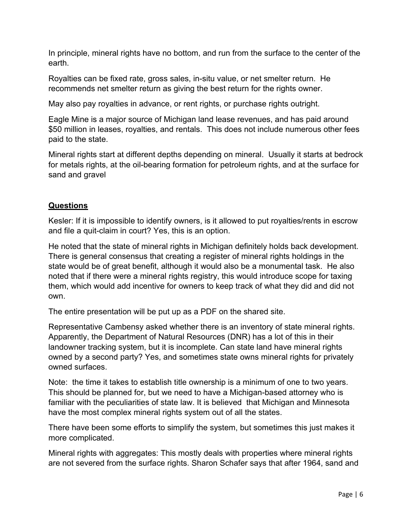In principle, mineral rights have no bottom, and run from the surface to the center of the earth.

Royalties can be fixed rate, gross sales, in-situ value, or net smelter return. He recommends net smelter return as giving the best return for the rights owner.

May also pay royalties in advance, or rent rights, or purchase rights outright.

Eagle Mine is a major source of Michigan land lease revenues, and has paid around \$50 million in leases, royalties, and rentals. This does not include numerous other fees paid to the state.

Mineral rights start at different depths depending on mineral. Usually it starts at bedrock for metals rights, at the oil-bearing formation for petroleum rights, and at the surface for sand and gravel

# **Questions**

Kesler: If it is impossible to identify owners, is it allowed to put royalties/rents in escrow and file a quit-claim in court? Yes, this is an option.

He noted that the state of mineral rights in Michigan definitely holds back development. There is general consensus that creating a register of mineral rights holdings in the state would be of great benefit, although it would also be a monumental task. He also noted that if there were a mineral rights registry, this would introduce scope for taxing them, which would add incentive for owners to keep track of what they did and did not own.

The entire presentation will be put up as a PDF on the shared site.

Representative Cambensy asked whether there is an inventory of state mineral rights. Apparently, the Department of Natural Resources (DNR) has a lot of this in their landowner tracking system, but it is incomplete. Can state land have mineral rights owned by a second party? Yes, and sometimes state owns mineral rights for privately owned surfaces.

Note: the time it takes to establish title ownership is a minimum of one to two years. This should be planned for, but we need to have a Michigan-based attorney who is familiar with the peculiarities of state law. It is believed that Michigan and Minnesota have the most complex mineral rights system out of all the states.

There have been some efforts to simplify the system, but sometimes this just makes it more complicated.

Mineral rights with aggregates: This mostly deals with properties where mineral rights are not severed from the surface rights. Sharon Schafer says that after 1964, sand and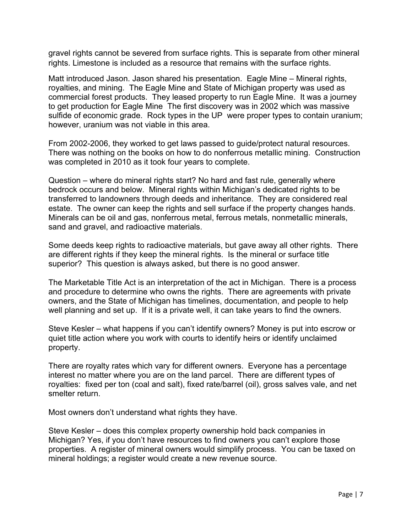gravel rights cannot be severed from surface rights. This is separate from other mineral rights. Limestone is included as a resource that remains with the surface rights.

Matt introduced Jason. Jason shared his presentation. Eagle Mine – Mineral rights, royalties, and mining. The Eagle Mine and State of Michigan property was used as commercial forest products. They leased property to run Eagle Mine. It was a journey to get production for Eagle Mine The first discovery was in 2002 which was massive sulfide of economic grade. Rock types in the UP were proper types to contain uranium; however, uranium was not viable in this area.

From 2002-2006, they worked to get laws passed to guide/protect natural resources. There was nothing on the books on how to do nonferrous metallic mining. Construction was completed in 2010 as it took four years to complete.

Question – where do mineral rights start? No hard and fast rule, generally where bedrock occurs and below. Mineral rights within Michigan's dedicated rights to be transferred to landowners through deeds and inheritance. They are considered real estate. The owner can keep the rights and sell surface if the property changes hands. Minerals can be oil and gas, nonferrous metal, ferrous metals, nonmetallic minerals, sand and gravel, and radioactive materials.

Some deeds keep rights to radioactive materials, but gave away all other rights. There are different rights if they keep the mineral rights. Is the mineral or surface title superior? This question is always asked, but there is no good answer.

The Marketable Title Act is an interpretation of the act in Michigan. There is a process and procedure to determine who owns the rights. There are agreements with private owners, and the State of Michigan has timelines, documentation, and people to help well planning and set up. If it is a private well, it can take years to find the owners.

Steve Kesler – what happens if you can't identify owners? Money is put into escrow or quiet title action where you work with courts to identify heirs or identify unclaimed property.

There are royalty rates which vary for different owners. Everyone has a percentage interest no matter where you are on the land parcel. There are different types of royalties: fixed per ton (coal and salt), fixed rate/barrel (oil), gross salves vale, and net smelter return.

Most owners don't understand what rights they have.

Steve Kesler – does this complex property ownership hold back companies in Michigan? Yes, if you don't have resources to find owners you can't explore those properties. A register of mineral owners would simplify process. You can be taxed on mineral holdings; a register would create a new revenue source.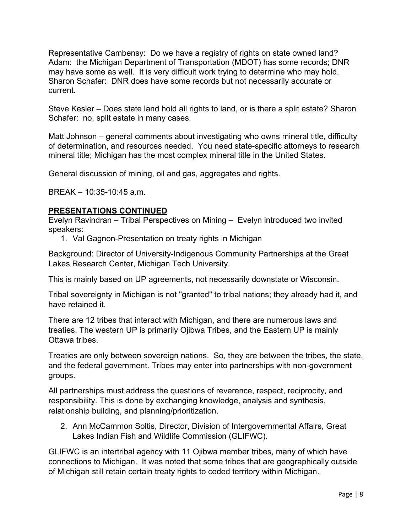Representative Cambensy: Do we have a registry of rights on state owned land? Adam: the Michigan Department of Transportation (MDOT) has some records; DNR may have some as well. It is very difficult work trying to determine who may hold. Sharon Schafer: DNR does have some records but not necessarily accurate or current.

Steve Kesler – Does state land hold all rights to land, or is there a split estate? Sharon Schafer: no, split estate in many cases.

Matt Johnson – general comments about investigating who owns mineral title, difficulty of determination, and resources needed. You need state-specific attorneys to research mineral title; Michigan has the most complex mineral title in the United States.

General discussion of mining, oil and gas, aggregates and rights.

BREAK – 10:35-10:45 a.m.

# **PRESENTATIONS CONTINUED**

Evelyn Ravindran – Tribal Perspectives on Mining – Evelyn introduced two invited speakers:

1. Val Gagnon-Presentation on treaty rights in Michigan

Background: Director of University-Indigenous Community Partnerships at the Great Lakes Research Center, Michigan Tech University.

This is mainly based on UP agreements, not necessarily downstate or Wisconsin.

Tribal sovereignty in Michigan is not "granted" to tribal nations; they already had it, and have retained it.

There are 12 tribes that interact with Michigan, and there are numerous laws and treaties. The western UP is primarily Ojibwa Tribes, and the Eastern UP is mainly Ottawa tribes.

Treaties are only between sovereign nations. So, they are between the tribes, the state, and the federal government. Tribes may enter into partnerships with non-government groups.

All partnerships must address the questions of reverence, respect, reciprocity, and responsibility. This is done by exchanging knowledge, analysis and synthesis, relationship building, and planning/prioritization.

2. Ann McCammon Soltis, Director, Division of Intergovernmental Affairs, Great Lakes Indian Fish and Wildlife Commission (GLIFWC).

GLIFWC is an intertribal agency with 11 Ojibwa member tribes, many of which have connections to Michigan. It was noted that some tribes that are geographically outside of Michigan still retain certain treaty rights to ceded territory within Michigan.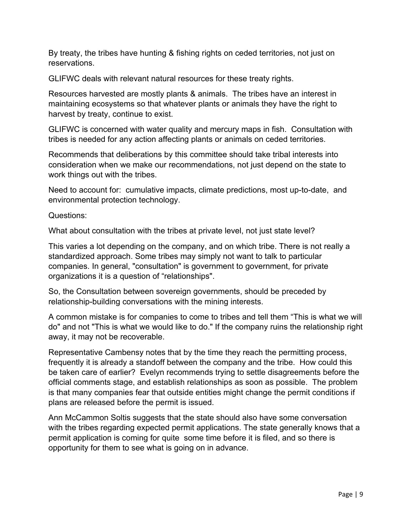By treaty, the tribes have hunting & fishing rights on ceded territories, not just on reservations.

GLIFWC deals with relevant natural resources for these treaty rights.

Resources harvested are mostly plants & animals. The tribes have an interest in maintaining ecosystems so that whatever plants or animals they have the right to harvest by treaty, continue to exist.

GLIFWC is concerned with water quality and mercury maps in fish. Consultation with tribes is needed for any action affecting plants or animals on ceded territories.

Recommends that deliberations by this committee should take tribal interests into consideration when we make our recommendations, not just depend on the state to work things out with the tribes.

Need to account for: cumulative impacts, climate predictions, most up-to-date, and environmental protection technology.

Questions:

What about consultation with the tribes at private level, not just state level?

This varies a lot depending on the company, and on which tribe. There is not really a standardized approach. Some tribes may simply not want to talk to particular companies. In general, "consultation" is government to government, for private organizations it is a question of "relationships".

So, the Consultation between sovereign governments, should be preceded by relationship-building conversations with the mining interests.

A common mistake is for companies to come to tribes and tell them "This is what we will do" and not "This is what we would like to do." If the company ruins the relationship right away, it may not be recoverable.

Representative Cambensy notes that by the time they reach the permitting process, frequently it is already a standoff between the company and the tribe. How could this be taken care of earlier? Evelyn recommends trying to settle disagreements before the official comments stage, and establish relationships as soon as possible. The problem is that many companies fear that outside entities might change the permit conditions if plans are released before the permit is issued.

Ann McCammon Soltis suggests that the state should also have some conversation with the tribes regarding expected permit applications. The state generally knows that a permit application is coming for quite some time before it is filed, and so there is opportunity for them to see what is going on in advance.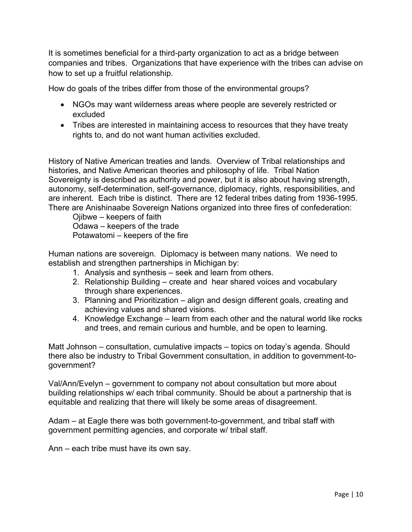It is sometimes beneficial for a third-party organization to act as a bridge between companies and tribes. Organizations that have experience with the tribes can advise on how to set up a fruitful relationship.

How do goals of the tribes differ from those of the environmental groups?

- NGOs may want wilderness areas where people are severely restricted or excluded
- Tribes are interested in maintaining access to resources that they have treaty rights to, and do not want human activities excluded.

History of Native American treaties and lands. Overview of Tribal relationships and histories, and Native American theories and philosophy of life. Tribal Nation Sovereignty is described as authority and power, but it is also about having strength, autonomy, self-determination, self-governance, diplomacy, rights, responsibilities, and are inherent. Each tribe is distinct. There are 12 federal tribes dating from 1936-1995. There are Anishinaabe Sovereign Nations organized into three fires of confederation:

 Ojibwe – keepers of faith Odawa – keepers of the trade Potawatomi – keepers of the fire

Human nations are sovereign. Diplomacy is between many nations. We need to establish and strengthen partnerships in Michigan by:

- 1. Analysis and synthesis seek and learn from others.
- 2. Relationship Building create and hear shared voices and vocabulary through share experiences.
- 3. Planning and Prioritization align and design different goals, creating and achieving values and shared visions.
- 4. Knowledge Exchange learn from each other and the natural world like rocks and trees, and remain curious and humble, and be open to learning.

Matt Johnson – consultation, cumulative impacts – topics on today's agenda. Should there also be industry to Tribal Government consultation, in addition to government-togovernment?

Val/Ann/Evelyn – government to company not about consultation but more about building relationships w/ each tribal community. Should be about a partnership that is equitable and realizing that there will likely be some areas of disagreement.

Adam – at Eagle there was both government-to-government, and tribal staff with government permitting agencies, and corporate w/ tribal staff.

Ann – each tribe must have its own say.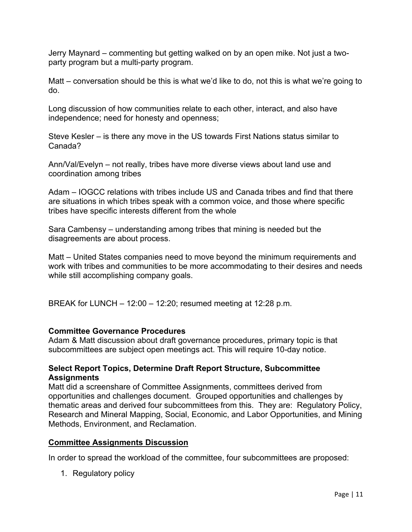Jerry Maynard – commenting but getting walked on by an open mike. Not just a twoparty program but a multi-party program.

Matt – conversation should be this is what we'd like to do, not this is what we're going to do.

Long discussion of how communities relate to each other, interact, and also have independence; need for honesty and openness;

Steve Kesler – is there any move in the US towards First Nations status similar to Canada?

Ann/Val/Evelyn – not really, tribes have more diverse views about land use and coordination among tribes

Adam – IOGCC relations with tribes include US and Canada tribes and find that there are situations in which tribes speak with a common voice, and those where specific tribes have specific interests different from the whole

Sara Cambensy – understanding among tribes that mining is needed but the disagreements are about process.

Matt – United States companies need to move beyond the minimum requirements and work with tribes and communities to be more accommodating to their desires and needs while still accomplishing company goals.

BREAK for LUNCH – 12:00 – 12:20; resumed meeting at 12:28 p.m.

# **Committee Governance Procedures**

Adam & Matt discussion about draft governance procedures, primary topic is that subcommittees are subject open meetings act. This will require 10-day notice.

# **Select Report Topics, Determine Draft Report Structure, Subcommittee Assignments**

Matt did a screenshare of Committee Assignments, committees derived from opportunities and challenges document. Grouped opportunities and challenges by thematic areas and derived four subcommittees from this. They are: Regulatory Policy, Research and Mineral Mapping, Social, Economic, and Labor Opportunities, and Mining Methods, Environment, and Reclamation.

# **Committee Assignments Discussion**

In order to spread the workload of the committee, four subcommittees are proposed:

1. Regulatory policy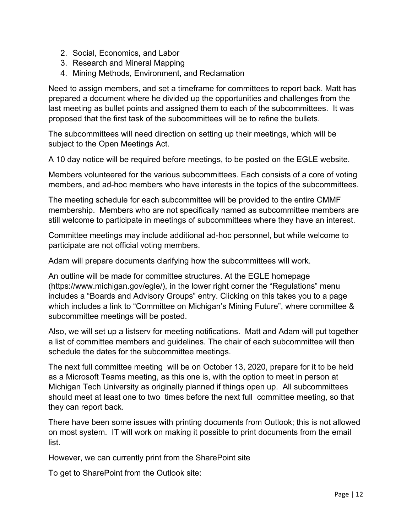- 2. Social, Economics, and Labor
- 3. Research and Mineral Mapping
- 4. Mining Methods, Environment, and Reclamation

Need to assign members, and set a timeframe for committees to report back. Matt has prepared a document where he divided up the opportunities and challenges from the last meeting as bullet points and assigned them to each of the subcommittees. It was proposed that the first task of the subcommittees will be to refine the bullets.

The subcommittees will need direction on setting up their meetings, which will be subject to the Open Meetings Act.

A 10 day notice will be required before meetings, to be posted on the EGLE website.

Members volunteered for the various subcommittees. Each consists of a core of voting members, and ad-hoc members who have interests in the topics of the subcommittees.

The meeting schedule for each subcommittee will be provided to the entire CMMF membership. Members who are not specifically named as subcommittee members are still welcome to participate in meetings of subcommittees where they have an interest.

Committee meetings may include additional ad-hoc personnel, but while welcome to participate are not official voting members.

Adam will prepare documents clarifying how the subcommittees will work.

An outline will be made for committee structures. At the EGLE homepage (https://www.michigan.gov/egle/), in the lower right corner the "Regulations" menu includes a "Boards and Advisory Groups" entry. Clicking on this takes you to a page which includes a link to "Committee on Michigan's Mining Future", where committee & subcommittee meetings will be posted.

Also, we will set up a listserv for meeting notifications. Matt and Adam will put together a list of committee members and guidelines. The chair of each subcommittee will then schedule the dates for the subcommittee meetings.

The next full committee meeting will be on October 13, 2020, prepare for it to be held as a Microsoft Teams meeting, as this one is, with the option to meet in person at Michigan Tech University as originally planned if things open up. All subcommittees should meet at least one to two times before the next full committee meeting, so that they can report back.

There have been some issues with printing documents from Outlook; this is not allowed on most system. IT will work on making it possible to print documents from the email list.

However, we can currently print from the SharePoint site

To get to SharePoint from the Outlook site: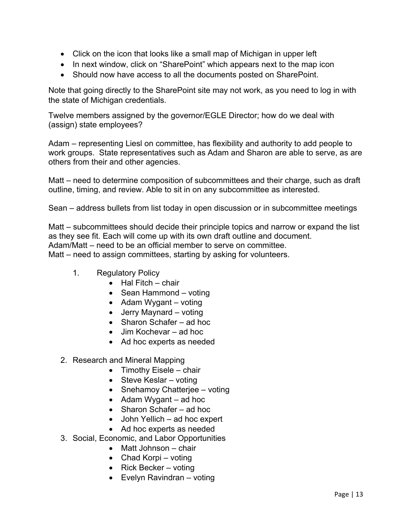- Click on the icon that looks like a small map of Michigan in upper left
- In next window, click on "SharePoint" which appears next to the map icon
- Should now have access to all the documents posted on SharePoint.

Note that going directly to the SharePoint site may not work, as you need to log in with the state of Michigan credentials.

Twelve members assigned by the governor/EGLE Director; how do we deal with (assign) state employees?

Adam – representing Liesl on committee, has flexibility and authority to add people to work groups. State representatives such as Adam and Sharon are able to serve, as are others from their and other agencies.

Matt – need to determine composition of subcommittees and their charge, such as draft outline, timing, and review. Able to sit in on any subcommittee as interested.

Sean – address bullets from list today in open discussion or in subcommittee meetings

Matt – subcommittees should decide their principle topics and narrow or expand the list as they see fit. Each will come up with its own draft outline and document. Adam/Matt – need to be an official member to serve on committee. Matt – need to assign committees, starting by asking for volunteers.

- 1. Regulatory Policy
	- $\bullet$  Hal Fitch chair
	- $\bullet$  Sean Hammond voting
	- Adam Wygant voting
	- Jerry Maynard voting
	- Sharon Schafer ad hoc
	- Jim Kochevar ad hoc
	- Ad hoc experts as needed
- 2. Research and Mineral Mapping
	- $\bullet$  Timothy Eisele chair
	- Steve Keslar voting
	- Snehamoy Chatterjee voting
	- $\bullet$  Adam Wygant ad hoc
	- Sharon Schafer ad hoc
	- John Yellich ad hoc expert
	- Ad hoc experts as needed
- 3. Social, Economic, and Labor Opportunities
	- Matt Johnson chair
	- Chad Korpi voting
	- Rick Becker voting
	- Evelyn Ravindran voting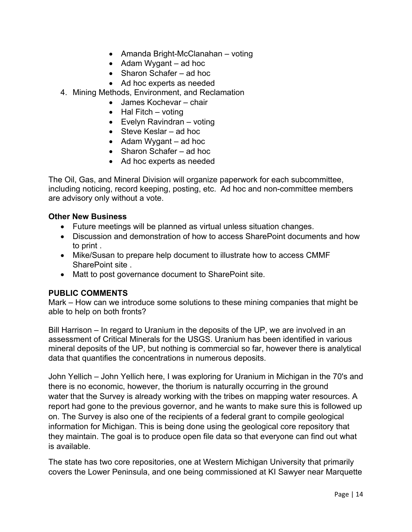- Amanda Bright-McClanahan voting
- $\bullet$  Adam Wygant ad hoc
- Sharon Schafer ad hoc
- Ad hoc experts as needed
- 4. Mining Methods, Environment, and Reclamation
	- James Kochevar chair
	- $\bullet$  Hal Fitch voting
	- Evelyn Ravindran voting
	- Steve Keslar ad hoc
	- $\bullet$  Adam Wygant ad hoc
	- Sharon Schafer ad hoc
	- Ad hoc experts as needed

The Oil, Gas, and Mineral Division will organize paperwork for each subcommittee, including noticing, record keeping, posting, etc. Ad hoc and non-committee members are advisory only without a vote.

# **Other New Business**

- Future meetings will be planned as virtual unless situation changes.
- Discussion and demonstration of how to access SharePoint documents and how to print .
- Mike/Susan to prepare help document to illustrate how to access CMMF SharePoint site .
- Matt to post governance document to SharePoint site.

# **PUBLIC COMMENTS**

Mark – How can we introduce some solutions to these mining companies that might be able to help on both fronts?

Bill Harrison – In regard to Uranium in the deposits of the UP, we are involved in an assessment of Critical Minerals for the USGS. Uranium has been identified in various mineral deposits of the UP, but nothing is commercial so far, however there is analytical data that quantifies the concentrations in numerous deposits.

John Yellich – John Yellich here, I was exploring for Uranium in Michigan in the 70's and there is no economic, however, the thorium is naturally occurring in the ground water that the Survey is already working with the tribes on mapping water resources. A report had gone to the previous governor, and he wants to make sure this is followed up on. The Survey is also one of the recipients of a federal grant to compile geological information for Michigan. This is being done using the geological core repository that they maintain. The goal is to produce open file data so that everyone can find out what is available.

The state has two core repositories, one at Western Michigan University that primarily covers the Lower Peninsula, and one being commissioned at KI Sawyer near Marquette